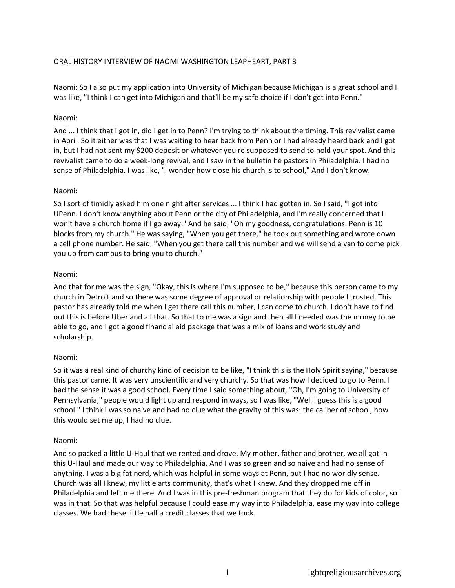## ORAL HISTORY INTERVIEW OF NAOMI WASHINGTON LEAPHEART, PART 3

Naomi: So I also put my application into University of Michigan because Michigan is a great school and I was like, "I think I can get into Michigan and that'll be my safe choice if I don't get into Penn."

## Naomi:

And ... I think that I got in, did I get in to Penn? I'm trying to think about the timing. This revivalist came in April. So it either was that I was waiting to hear back from Penn or I had already heard back and I got in, but I had not sent my \$200 deposit or whatever you're supposed to send to hold your spot. And this revivalist came to do a week-long revival, and I saw in the bulletin he pastors in Philadelphia. I had no sense of Philadelphia. I was like, "I wonder how close his church is to school," And I don't know.

## Naomi:

So I sort of timidly asked him one night after services ... I think I had gotten in. So I said, "I got into UPenn. I don't know anything about Penn or the city of Philadelphia, and I'm really concerned that I won't have a church home if I go away." And he said, "Oh my goodness, congratulations. Penn is 10 blocks from my church." He was saying, "When you get there," he took out something and wrote down a cell phone number. He said, "When you get there call this number and we will send a van to come pick you up from campus to bring you to church."

## Naomi:

And that for me was the sign, "Okay, this is where I'm supposed to be," because this person came to my church in Detroit and so there was some degree of approval or relationship with people I trusted. This pastor has already told me when I get there call this number, I can come to church. I don't have to find out this is before Uber and all that. So that to me was a sign and then all I needed was the money to be able to go, and I got a good financial aid package that was a mix of loans and work study and scholarship.

## Naomi:

So it was a real kind of churchy kind of decision to be like, "I think this is the Holy Spirit saying," because this pastor came. It was very unscientific and very churchy. So that was how I decided to go to Penn. I had the sense it was a good school. Every time I said something about, "Oh, I'm going to University of Pennsylvania," people would light up and respond in ways, so I was like, "Well I guess this is a good school." I think I was so naive and had no clue what the gravity of this was: the caliber of school, how this would set me up, I had no clue.

## Naomi:

And so packed a little U-Haul that we rented and drove. My mother, father and brother, we all got in this U-Haul and made our way to Philadelphia. And I was so green and so naive and had no sense of anything. I was a big fat nerd, which was helpful in some ways at Penn, but I had no worldly sense. Church was all I knew, my little arts community, that's what I knew. And they dropped me off in Philadelphia and left me there. And I was in this pre-freshman program that they do for kids of color, so I was in that. So that was helpful because I could ease my way into Philadelphia, ease my way into college classes. We had these little half a credit classes that we took.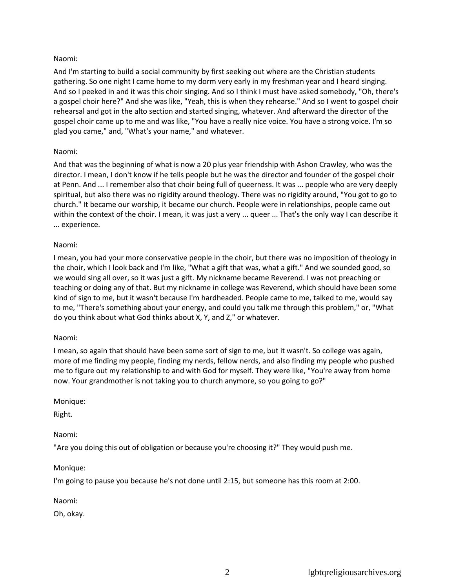## Naomi:

And I'm starting to build a social community by first seeking out where are the Christian students gathering. So one night I came home to my dorm very early in my freshman year and I heard singing. And so I peeked in and it was this choir singing. And so I think I must have asked somebody, "Oh, there's a gospel choir here?" And she was like, "Yeah, this is when they rehearse." And so I went to gospel choir rehearsal and got in the alto section and started singing, whatever. And afterward the director of the gospel choir came up to me and was like, "You have a really nice voice. You have a strong voice. I'm so glad you came," and, "What's your name," and whatever.

## Naomi:

And that was the beginning of what is now a 20 plus year friendship with Ashon Crawley, who was the director. I mean, I don't know if he tells people but he was the director and founder of the gospel choir at Penn. And ... I remember also that choir being full of queerness. It was ... people who are very deeply spiritual, but also there was no rigidity around theology. There was no rigidity around, "You got to go to church." It became our worship, it became our church. People were in relationships, people came out within the context of the choir. I mean, it was just a very ... queer ... That's the only way I can describe it ... experience.

## Naomi:

I mean, you had your more conservative people in the choir, but there was no imposition of theology in the choir, which I look back and I'm like, "What a gift that was, what a gift." And we sounded good, so we would sing all over, so it was just a gift. My nickname became Reverend. I was not preaching or teaching or doing any of that. But my nickname in college was Reverend, which should have been some kind of sign to me, but it wasn't because I'm hardheaded. People came to me, talked to me, would say to me, "There's something about your energy, and could you talk me through this problem," or, "What do you think about what God thinks about X, Y, and Z," or whatever.

## Naomi:

I mean, so again that should have been some sort of sign to me, but it wasn't. So college was again, more of me finding my people, finding my nerds, fellow nerds, and also finding my people who pushed me to figure out my relationship to and with God for myself. They were like, "You're away from home now. Your grandmother is not taking you to church anymore, so you going to go?"

## Monique:

Right.

## Naomi:

"Are you doing this out of obligation or because you're choosing it?" They would push me.

## Monique:

I'm going to pause you because he's not done until 2:15, but someone has this room at 2:00.

Naomi:

Oh, okay.